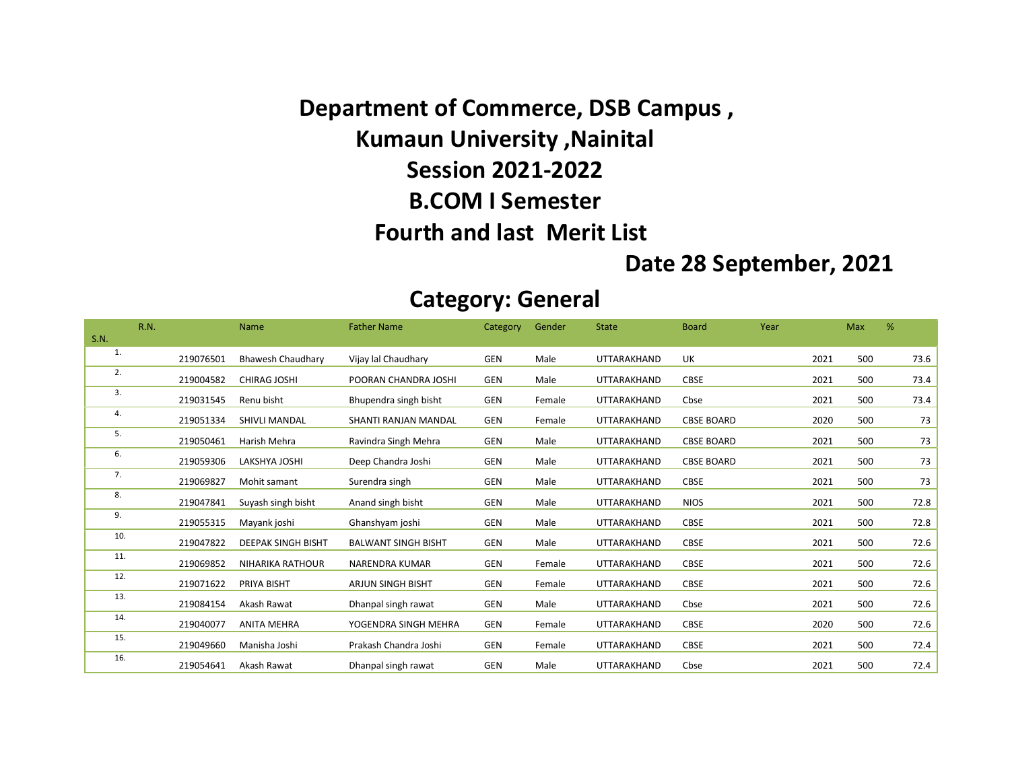Department of Commerce, DSB Campus , Kumaun University ,Nainital Session 2021-2022 B.COM I Semester Fourth and last Merit List

#### Date 28 September, 2021

#### Category: General

|             | <b>R.N.</b> |           | Name                      | <b>Father Name</b>         | Category   | Gender | <b>State</b>       | <b>Board</b>      | Year | Max  |     | %    |
|-------------|-------------|-----------|---------------------------|----------------------------|------------|--------|--------------------|-------------------|------|------|-----|------|
| <b>S.N.</b> |             |           |                           |                            |            |        |                    |                   |      |      |     |      |
| 1.          |             | 219076501 | <b>Bhawesh Chaudhary</b>  | Vijay lal Chaudhary        | <b>GEN</b> | Male   | <b>UTTARAKHAND</b> | UK                |      | 2021 | 500 | 73.6 |
| 2.          |             | 219004582 | <b>CHIRAG JOSHI</b>       | POORAN CHANDRA JOSHI       | <b>GEN</b> | Male   | UTTARAKHAND        | <b>CBSE</b>       |      | 2021 | 500 | 73.4 |
| 3.          |             | 219031545 | Renu bisht                | Bhupendra singh bisht      | GEN        | Female | UTTARAKHAND        | Cbse              |      | 2021 | 500 | 73.4 |
| 4.          |             | 219051334 | <b>SHIVLI MANDAL</b>      | SHANTI RANJAN MANDAL       | <b>GEN</b> | Female | UTTARAKHAND        | <b>CBSE BOARD</b> |      | 2020 | 500 | 73   |
| 5.          |             | 219050461 | Harish Mehra              | Ravindra Singh Mehra       | GEN        | Male   | UTTARAKHAND        | <b>CBSE BOARD</b> |      | 2021 | 500 | 73   |
| 6.          |             | 219059306 | LAKSHYA JOSHI             | Deep Chandra Joshi         | <b>GEN</b> | Male   | <b>UTTARAKHAND</b> | <b>CBSE BOARD</b> |      | 2021 | 500 | 73   |
| 7.          |             | 219069827 | Mohit samant              | Surendra singh             | <b>GEN</b> | Male   | UTTARAKHAND        | <b>CBSE</b>       |      | 2021 | 500 | 73   |
| 8.          |             | 219047841 | Suyash singh bisht        | Anand singh bisht          | <b>GEN</b> | Male   | <b>UTTARAKHAND</b> | <b>NIOS</b>       |      | 2021 | 500 | 72.8 |
| 9.          |             | 219055315 | Mayank joshi              | Ghanshyam joshi            | <b>GEN</b> | Male   | UTTARAKHAND        | <b>CBSE</b>       |      | 2021 | 500 | 72.8 |
| 10.         |             | 219047822 | <b>DEEPAK SINGH BISHT</b> | <b>BALWANT SINGH BISHT</b> | <b>GEN</b> | Male   | UTTARAKHAND        | <b>CBSE</b>       |      | 2021 | 500 | 72.6 |
| 11.         |             | 219069852 | <b>NIHARIKA RATHOUR</b>   | <b>NARENDRA KUMAR</b>      | <b>GEN</b> | Female | UTTARAKHAND        | <b>CBSE</b>       |      | 2021 | 500 | 72.6 |
| 12.         |             | 219071622 | PRIYA BISHT               | <b>ARJUN SINGH BISHT</b>   | <b>GEN</b> | Female | UTTARAKHAND        | <b>CBSE</b>       |      | 2021 | 500 | 72.6 |
| 13.         |             | 219084154 | Akash Rawat               | Dhanpal singh rawat        | <b>GEN</b> | Male   | UTTARAKHAND        | Cbse              |      | 2021 | 500 | 72.6 |
| 14.         |             | 219040077 | <b>ANITA MEHRA</b>        | YOGENDRA SINGH MEHRA       | <b>GEN</b> | Female | UTTARAKHAND        | CBSE              |      | 2020 | 500 | 72.6 |
| 15.         |             | 219049660 | Manisha Joshi             | Prakash Chandra Joshi      | <b>GEN</b> | Female | UTTARAKHAND        | <b>CBSE</b>       |      | 2021 | 500 | 72.4 |
| 16.         |             | 219054641 | Akash Rawat               | Dhanpal singh rawat        | <b>GEN</b> | Male   | UTTARAKHAND        | Cbse              |      | 2021 | 500 | 72.4 |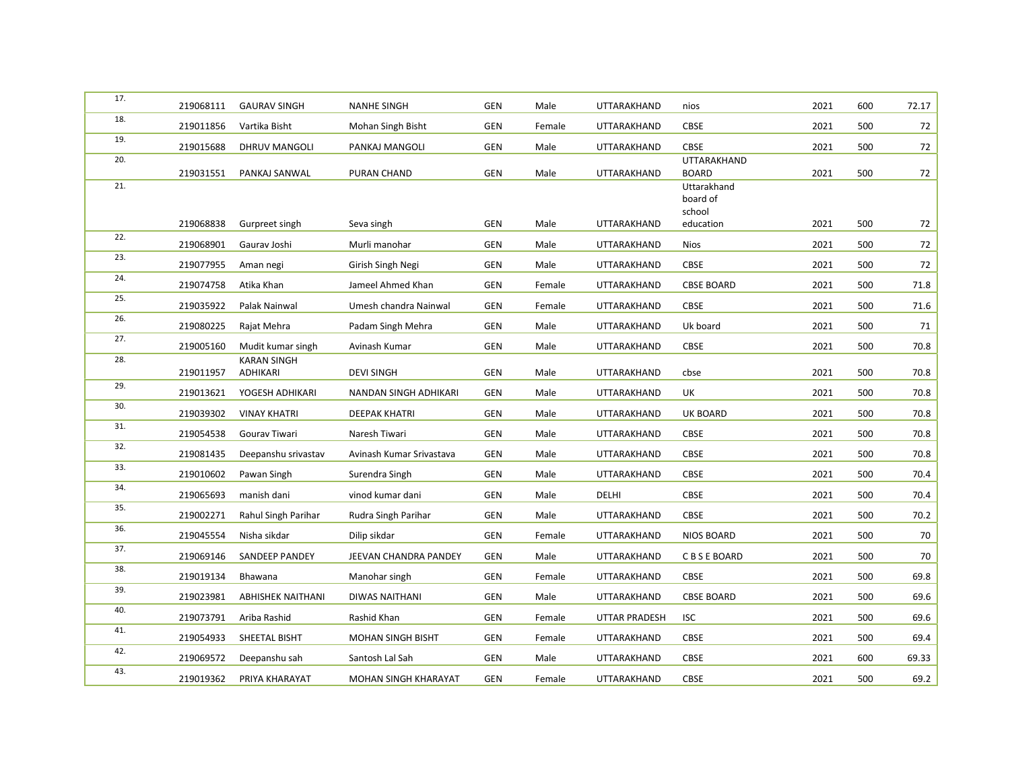| 17. | 219068111 | <b>GAURAV SINGH</b>                     | <b>NANHE SINGH</b>       | <b>GEN</b> | Male   | UTTARAKHAND          | nios                        | 2021 | 600 | 72.17 |
|-----|-----------|-----------------------------------------|--------------------------|------------|--------|----------------------|-----------------------------|------|-----|-------|
| 18. | 219011856 | Vartika Bisht                           | Mohan Singh Bisht        | <b>GEN</b> | Female | UTTARAKHAND          | CBSE                        | 2021 | 500 | 72    |
| 19. | 219015688 | DHRUV MANGOLI                           | PANKAJ MANGOLI           | <b>GEN</b> | Male   | UTTARAKHAND          | <b>CBSE</b>                 | 2021 | 500 | 72    |
| 20. | 219031551 | PANKAJ SANWAL                           | PURAN CHAND              | <b>GEN</b> | Male   | UTTARAKHAND          | UTTARAKHAND<br><b>BOARD</b> | 2021 | 500 | 72    |
| 21. |           |                                         |                          |            |        |                      | Uttarakhand<br>board of     |      |     |       |
|     | 219068838 | Gurpreet singh                          | Seva singh               | <b>GEN</b> | Male   | UTTARAKHAND          | school<br>education         | 2021 | 500 | 72    |
| 22. | 219068901 | Gaurav Joshi                            | Murli manohar            | <b>GEN</b> | Male   | UTTARAKHAND          | <b>Nios</b>                 | 2021 | 500 | 72    |
| 23. | 219077955 | Aman negi                               | Girish Singh Negi        | <b>GEN</b> | Male   | UTTARAKHAND          | <b>CBSE</b>                 | 2021 | 500 | 72    |
| 24. | 219074758 | Atika Khan                              | Jameel Ahmed Khan        | <b>GEN</b> | Female | UTTARAKHAND          | <b>CBSE BOARD</b>           | 2021 | 500 | 71.8  |
| 25. | 219035922 | Palak Nainwal                           | Umesh chandra Nainwal    | <b>GEN</b> | Female | UTTARAKHAND          | CBSE                        | 2021 | 500 | 71.6  |
| 26. | 219080225 | Rajat Mehra                             | Padam Singh Mehra        | <b>GEN</b> | Male   | UTTARAKHAND          | Uk board                    | 2021 | 500 | 71    |
| 27. |           |                                         |                          |            |        |                      |                             |      |     |       |
| 28. | 219005160 | Mudit kumar singh<br><b>KARAN SINGH</b> | Avinash Kumar            | GEN        | Male   | UTTARAKHAND          | CBSE                        | 2021 | 500 | 70.8  |
|     | 219011957 | ADHIKARI                                | <b>DEVI SINGH</b>        | <b>GEN</b> | Male   | UTTARAKHAND          | cbse                        | 2021 | 500 | 70.8  |
| 29. | 219013621 | YOGESH ADHIKARI                         | NANDAN SINGH ADHIKARI    | <b>GEN</b> | Male   | UTTARAKHAND          | UK                          | 2021 | 500 | 70.8  |
| 30. | 219039302 | <b>VINAY KHATRI</b>                     | <b>DEEPAK KHATRI</b>     | <b>GEN</b> | Male   | UTTARAKHAND          | <b>UK BOARD</b>             | 2021 | 500 | 70.8  |
| 31. | 219054538 | Gourav Tiwari                           | Naresh Tiwari            | <b>GEN</b> | Male   | UTTARAKHAND          | CBSE                        | 2021 | 500 | 70.8  |
| 32. | 219081435 | Deepanshu srivastav                     | Avinash Kumar Srivastava | <b>GEN</b> | Male   | UTTARAKHAND          | CBSE                        | 2021 | 500 | 70.8  |
| 33. | 219010602 | Pawan Singh                             | Surendra Singh           | <b>GEN</b> | Male   | UTTARAKHAND          | <b>CBSE</b>                 | 2021 | 500 | 70.4  |
| 34. | 219065693 | manish dani                             | vinod kumar dani         | <b>GEN</b> | Male   | DELHI                | CBSE                        | 2021 | 500 | 70.4  |
| 35. | 219002271 | Rahul Singh Parihar                     | Rudra Singh Parihar      | <b>GEN</b> | Male   | UTTARAKHAND          | CBSE                        | 2021 | 500 | 70.2  |
| 36. | 219045554 | Nisha sikdar                            | Dilip sikdar             | <b>GEN</b> | Female | UTTARAKHAND          | <b>NIOS BOARD</b>           | 2021 | 500 | 70    |
| 37. | 219069146 | SANDEEP PANDEY                          | JEEVAN CHANDRA PANDEY    | <b>GEN</b> | Male   | UTTARAKHAND          | C B S E BOARD               | 2021 | 500 | 70    |
| 38. | 219019134 | Bhawana                                 | Manohar singh            | <b>GEN</b> | Female | UTTARAKHAND          | <b>CBSE</b>                 | 2021 | 500 | 69.8  |
| 39. | 219023981 | <b>ABHISHEK NAITHANI</b>                | <b>DIWAS NAITHANI</b>    | <b>GEN</b> | Male   | UTTARAKHAND          | <b>CBSE BOARD</b>           | 2021 | 500 | 69.6  |
| 40. | 219073791 | Ariba Rashid                            | Rashid Khan              | <b>GEN</b> | Female | <b>UTTAR PRADESH</b> | <b>ISC</b>                  | 2021 | 500 | 69.6  |
| 41. | 219054933 | SHEETAL BISHT                           | <b>MOHAN SINGH BISHT</b> | <b>GEN</b> | Female | UTTARAKHAND          | CBSE                        | 2021 | 500 | 69.4  |
| 42. | 219069572 | Deepanshu sah                           | Santosh Lal Sah          | <b>GEN</b> | Male   | UTTARAKHAND          | CBSE                        | 2021 | 600 | 69.33 |
| 43. | 219019362 | PRIYA KHARAYAT                          | MOHAN SINGH KHARAYAT     | <b>GEN</b> | Female | UTTARAKHAND          | CBSE                        | 2021 | 500 | 69.2  |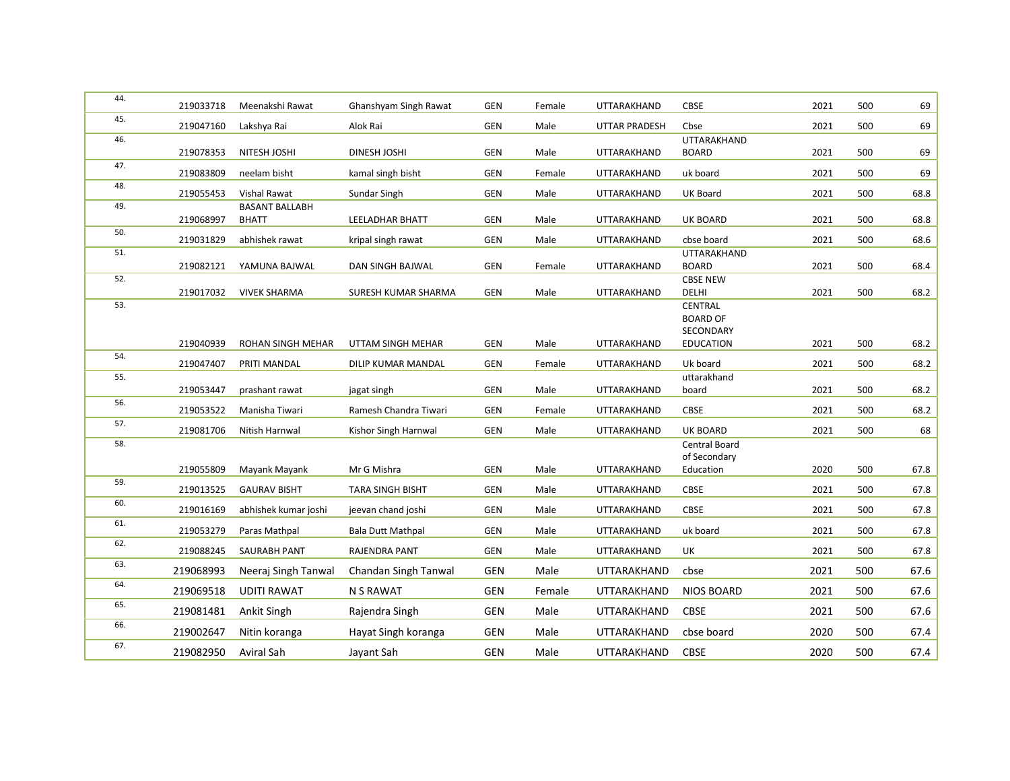| 44. | 219033718 | Meenakshi Rawat                       | Ghanshyam Singh Rawat    | GEN        | Female       | UTTARAKHAND                | <b>CBSE</b>                                       | 2021 | 500 | 69   |
|-----|-----------|---------------------------------------|--------------------------|------------|--------------|----------------------------|---------------------------------------------------|------|-----|------|
| 45. | 219047160 | Lakshya Rai                           | Alok Rai                 | <b>GEN</b> | Male         | <b>UTTAR PRADESH</b>       | Cbse                                              | 2021 | 500 | 69   |
| 46. | 219078353 | NITESH JOSHI                          | <b>DINESH JOSHI</b>      | <b>GEN</b> | Male         | UTTARAKHAND                | <b>UTTARAKHAND</b><br><b>BOARD</b>                | 2021 | 500 | 69   |
| 47. | 219083809 | neelam bisht                          | kamal singh bisht        | <b>GEN</b> | Female       | UTTARAKHAND                | uk board                                          | 2021 | 500 | 69   |
| 48. | 219055453 | Vishal Rawat                          | Sundar Singh             | GEN        | Male         | UTTARAKHAND                | UK Board                                          | 2021 | 500 | 68.8 |
| 49. | 219068997 | <b>BASANT BALLABH</b><br><b>BHATT</b> | LEELADHAR BHATT          | <b>GEN</b> | Male         | UTTARAKHAND                | UK BOARD                                          | 2021 | 500 | 68.8 |
| 50. | 219031829 | abhishek rawat                        | kripal singh rawat       | GEN        | Male         | UTTARAKHAND                | cbse board                                        | 2021 | 500 | 68.6 |
| 51. | 219082121 | YAMUNA BAJWAL                         | DAN SINGH BAJWAL         | <b>GEN</b> | Female       | UTTARAKHAND                | <b>UTTARAKHAND</b><br><b>BOARD</b>                | 2021 | 500 | 68.4 |
| 52. | 219017032 | <b>VIVEK SHARMA</b>                   | SURESH KUMAR SHARMA      | GEN        | Male         | UTTARAKHAND                | <b>CBSE NEW</b><br>DELHI                          | 2021 | 500 | 68.2 |
| 53. |           |                                       |                          |            |              |                            | CENTRAL<br><b>BOARD OF</b><br>SECONDARY           |      |     |      |
|     | 219040939 | ROHAN SINGH MEHAR                     | UTTAM SINGH MEHAR        | GEN        | Male         | UTTARAKHAND                | <b>EDUCATION</b>                                  | 2021 | 500 | 68.2 |
| 54. | 219047407 | PRITI MANDAL                          | DILIP KUMAR MANDAL       | GEN        | Female       | UTTARAKHAND                | Uk board                                          | 2021 | 500 | 68.2 |
| 55. | 219053447 | prashant rawat                        | jagat singh              | <b>GEN</b> | Male         | UTTARAKHAND                | uttarakhand<br>board                              | 2021 | 500 | 68.2 |
| 56. | 219053522 | Manisha Tiwari                        | Ramesh Chandra Tiwari    | GEN        | Female       | UTTARAKHAND                | <b>CBSE</b>                                       | 2021 | 500 | 68.2 |
| 57. | 219081706 | Nitish Harnwal                        | Kishor Singh Harnwal     | GEN        | Male         | UTTARAKHAND                | UK BOARD                                          | 2021 | 500 | 68   |
| 58. | 219055809 | Mayank Mayank                         | Mr G Mishra              | <b>GEN</b> | Male         | UTTARAKHAND                | <b>Central Board</b><br>of Secondary<br>Education | 2020 | 500 | 67.8 |
| 59. | 219013525 | <b>GAURAV BISHT</b>                   |                          | <b>GEN</b> |              |                            | <b>CBSE</b>                                       | 2021 | 500 | 67.8 |
| 60. | 219016169 |                                       | <b>TARA SINGH BISHT</b>  | <b>GEN</b> | Male<br>Male | UTTARAKHAND<br>UTTARAKHAND | <b>CBSE</b>                                       | 2021 | 500 | 67.8 |
| 61. | 219053279 | abhishek kumar joshi                  | jeevan chand joshi       | <b>GEN</b> |              |                            | uk board                                          | 2021 | 500 | 67.8 |
| 62. |           | Paras Mathpal                         | <b>Bala Dutt Mathpal</b> |            | Male         | UTTARAKHAND                |                                                   |      |     |      |
| 63. | 219088245 | <b>SAURABH PANT</b>                   | RAJENDRA PANT            | <b>GEN</b> | Male         | UTTARAKHAND                | UK                                                | 2021 | 500 | 67.8 |
| 64. | 219068993 | Neeraj Singh Tanwal                   | Chandan Singh Tanwal     | GEN        | Male         | UTTARAKHAND                | cbse                                              | 2021 | 500 | 67.6 |
| 65. | 219069518 | <b>UDITI RAWAT</b>                    | <b>N S RAWAT</b>         | <b>GEN</b> | Female       | UTTARAKHAND                | <b>NIOS BOARD</b>                                 | 2021 | 500 | 67.6 |
| 66. | 219081481 | Ankit Singh                           | Rajendra Singh           | <b>GEN</b> | Male         | UTTARAKHAND                | CBSE                                              | 2021 | 500 | 67.6 |
|     | 219002647 | Nitin koranga                         | Hayat Singh koranga      | <b>GEN</b> | Male         | UTTARAKHAND                | cbse board                                        | 2020 | 500 | 67.4 |
| 67. | 219082950 | Aviral Sah                            | Jayant Sah               | <b>GEN</b> | Male         | UTTARAKHAND                | <b>CBSE</b>                                       | 2020 | 500 | 67.4 |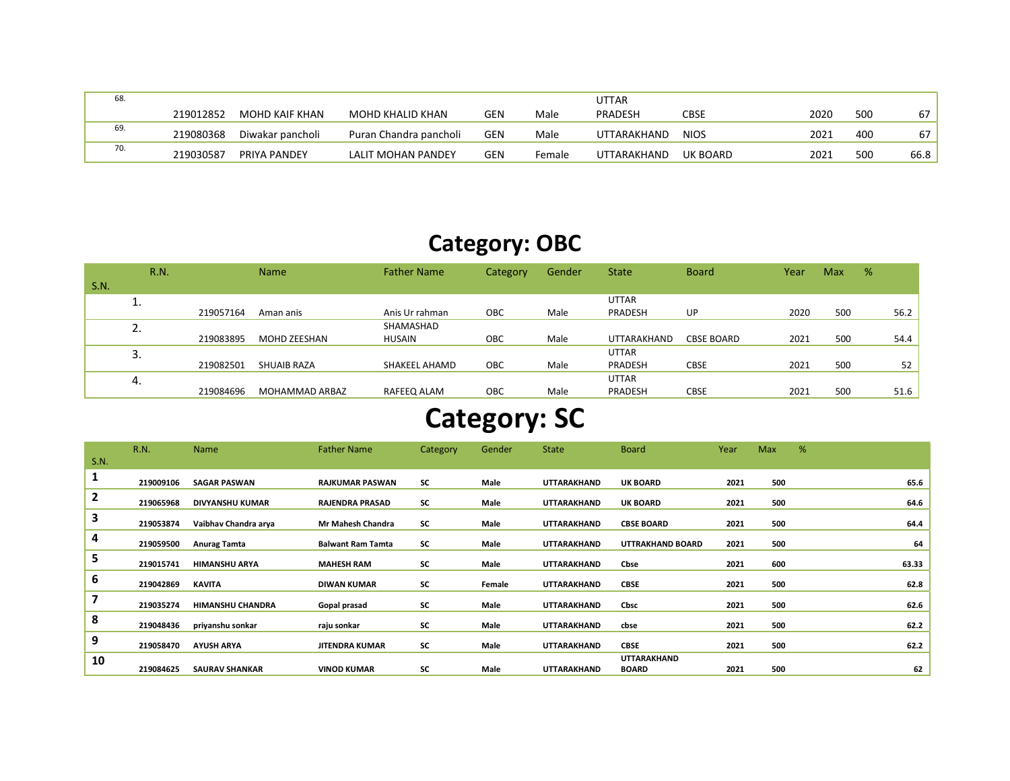| 68. |           |                       |                        |            |        | <b>UTTAR</b> |             |      |     |      |
|-----|-----------|-----------------------|------------------------|------------|--------|--------------|-------------|------|-----|------|
|     | 219012852 | <b>MOHD KAIF KHAN</b> | MOHD KHALID KHAN       | <b>GEN</b> | Male   | PRADESH      | CBSE        | 2020 | 500 | 67   |
| 69. | 219080368 | Diwakar pancholi      | Puran Chandra pancholi | <b>GEN</b> | Male   | UTTARAKHAND  | <b>NIOS</b> | 2021 | 400 | 67   |
| 70. | 219030587 | PRIYA PANDEY          | LALIT MOHAN PANDEY     | <b>GEN</b> | Female | UTTARAKHAND  | UK BOARD    | 2021 | 500 | 66.8 |

## Category: OBC

|      | R.N.    |           | <b>Name</b>        | <b>Father Name</b> | Category | Gender | <b>State</b> | <b>Board</b>      | Year | Max | % |      |
|------|---------|-----------|--------------------|--------------------|----------|--------|--------------|-------------------|------|-----|---|------|
| S.N. |         |           |                    |                    |          |        |              |                   |      |     |   |      |
|      | ∸.      |           |                    |                    |          |        | <b>UTTAR</b> |                   |      |     |   |      |
|      |         | 219057164 | Aman anis          | Anis Ur rahman     | OBC      | Male   | PRADESH      | UP                | 2020 | 500 |   | 56.2 |
|      | ⌒<br>z. |           |                    | SHAMASHAD          |          |        |              |                   |      |     |   |      |
|      |         | 219083895 | MOHD ZEESHAN       | <b>HUSAIN</b>      | OBC      | Male   | UTTARAKHAND  | <b>CBSE BOARD</b> | 2021 | 500 |   | 54.4 |
|      | 3.      |           |                    |                    |          |        | <b>UTTAR</b> |                   |      |     |   |      |
|      |         | 219082501 | <b>SHUAIB RAZA</b> | SHAKEEL AHAMD      | OBC      | Male   | PRADESH      | <b>CBSE</b>       | 2021 | 500 |   | 52   |
|      | 4.      |           |                    |                    |          |        | <b>UTTAR</b> |                   |      |     |   |      |
|      |         | 219084696 | MOHAMMAD ARBAZ     | RAFEEQ ALAM        | OBC      | Male   | PRADESH      | <b>CBSE</b>       | 2021 | 500 |   | 51.6 |

# Category: SC

|                | R.N.      | Name                    | <b>Father Name</b>       | Category | Gender | <b>State</b>       | <b>Board</b>                | Year | Max | %     |
|----------------|-----------|-------------------------|--------------------------|----------|--------|--------------------|-----------------------------|------|-----|-------|
| S.N.           |           |                         |                          |          |        |                    |                             |      |     |       |
| 1              | 219009106 | <b>SAGAR PASWAN</b>     | <b>RAJKUMAR PASWAN</b>   | SC       | Male   | <b>UTTARAKHAND</b> | <b>UK BOARD</b>             | 2021 | 500 | 65.6  |
| $\overline{2}$ | 219065968 | <b>DIVYANSHU KUMAR</b>  | <b>RAJENDRA PRASAD</b>   | SC       | Male   | <b>UTTARAKHAND</b> | <b>UK BOARD</b>             | 2021 | 500 | 64.6  |
| 3              | 219053874 | Vaibhav Chandra arya    | <b>Mr Mahesh Chandra</b> | SC       | Male   | <b>UTTARAKHAND</b> | <b>CBSE BOARD</b>           | 2021 | 500 | 64.4  |
| 4              | 219059500 | <b>Anurag Tamta</b>     | <b>Balwant Ram Tamta</b> | SC       | Male   | <b>UTTARAKHAND</b> | <b>UTTRAKHAND BOARD</b>     | 2021 | 500 | 64    |
| 5              | 219015741 | <b>HIMANSHU ARYA</b>    | <b>MAHESH RAM</b>        | SC       | Male   | <b>UTTARAKHAND</b> | Cbse                        | 2021 | 600 | 63.33 |
| 6              | 219042869 | <b>KAVITA</b>           | <b>DIWAN KUMAR</b>       | SC       | Female | <b>UTTARAKHAND</b> | <b>CBSE</b>                 | 2021 | 500 | 62.8  |
| 7              | 219035274 | <b>HIMANSHU CHANDRA</b> | Gopal prasad             | SC       | Male   | <b>UTTARAKHAND</b> | Cbsc                        | 2021 | 500 | 62.6  |
| 8              | 219048436 | priyanshu sonkar        | raju sonkar              | SC       | Male   | <b>UTTARAKHAND</b> | cbse                        | 2021 | 500 | 62.2  |
| 9              | 219058470 | <b>AYUSH ARYA</b>       | <b>JITENDRA KUMAR</b>    | SC       | Male   | UTTARAKHAND        | <b>CBSE</b>                 | 2021 | 500 | 62.2  |
| 10             | 219084625 | <b>SAURAV SHANKAR</b>   | <b>VINOD KUMAR</b>       | SC       | Male   | UTTARAKHAND        | UTTARAKHAND<br><b>BOARD</b> | 2021 | 500 | 62    |